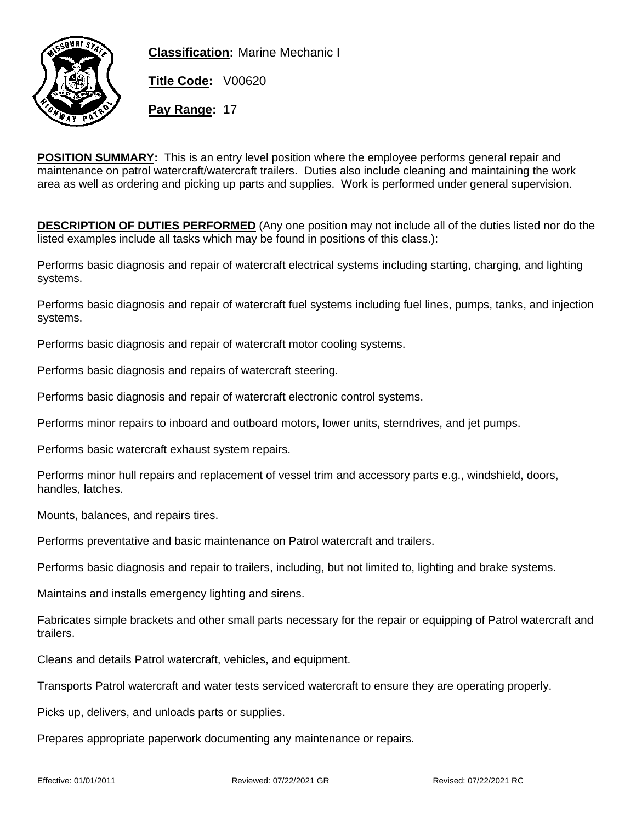

**Classification:** Marine Mechanic I

**Title Code:** V00620

**Pay Range:** 17

**POSITION SUMMARY:** This is an entry level position where the employee performs general repair and maintenance on patrol watercraft/watercraft trailers. Duties also include cleaning and maintaining the work area as well as ordering and picking up parts and supplies. Work is performed under general supervision.

**DESCRIPTION OF DUTIES PERFORMED** (Any one position may not include all of the duties listed nor do the listed examples include all tasks which may be found in positions of this class.):

Performs basic diagnosis and repair of watercraft electrical systems including starting, charging, and lighting systems.

Performs basic diagnosis and repair of watercraft fuel systems including fuel lines, pumps, tanks, and injection systems.

Performs basic diagnosis and repair of watercraft motor cooling systems.

Performs basic diagnosis and repairs of watercraft steering.

Performs basic diagnosis and repair of watercraft electronic control systems.

Performs minor repairs to inboard and outboard motors, lower units, sterndrives, and jet pumps.

Performs basic watercraft exhaust system repairs.

Performs minor hull repairs and replacement of vessel trim and accessory parts e.g., windshield, doors, handles, latches.

Mounts, balances, and repairs tires.

Performs preventative and basic maintenance on Patrol watercraft and trailers.

Performs basic diagnosis and repair to trailers, including, but not limited to, lighting and brake systems.

Maintains and installs emergency lighting and sirens.

Fabricates simple brackets and other small parts necessary for the repair or equipping of Patrol watercraft and trailers.

Cleans and details Patrol watercraft, vehicles, and equipment.

Transports Patrol watercraft and water tests serviced watercraft to ensure they are operating properly.

Picks up, delivers, and unloads parts or supplies.

Prepares appropriate paperwork documenting any maintenance or repairs.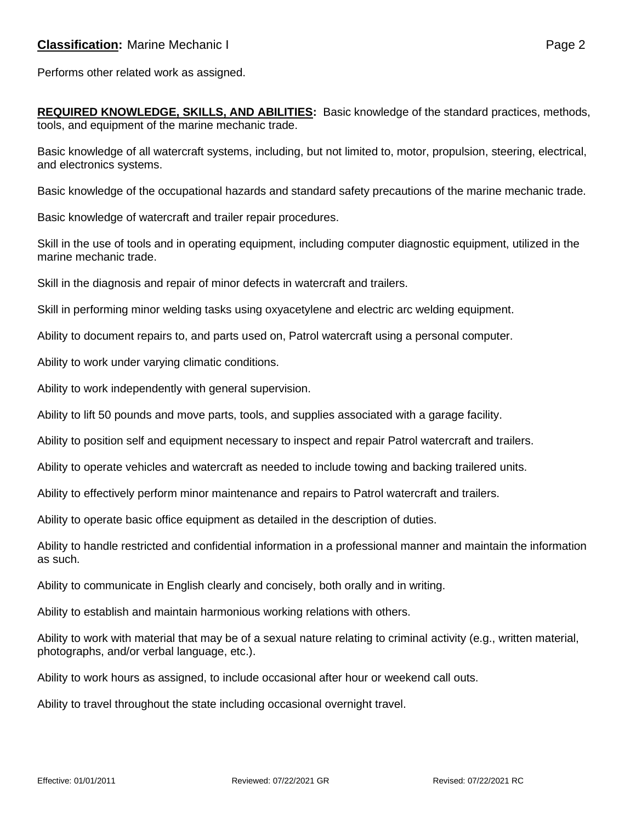Performs other related work as assigned.

**REQUIRED KNOWLEDGE, SKILLS, AND ABILITIES:** Basic knowledge of the standard practices, methods, tools, and equipment of the marine mechanic trade.

Basic knowledge of all watercraft systems, including, but not limited to, motor, propulsion, steering, electrical, and electronics systems.

Basic knowledge of the occupational hazards and standard safety precautions of the marine mechanic trade.

Basic knowledge of watercraft and trailer repair procedures.

Skill in the use of tools and in operating equipment, including computer diagnostic equipment, utilized in the marine mechanic trade.

Skill in the diagnosis and repair of minor defects in watercraft and trailers.

Skill in performing minor welding tasks using oxyacetylene and electric arc welding equipment.

Ability to document repairs to, and parts used on, Patrol watercraft using a personal computer.

Ability to work under varying climatic conditions.

Ability to work independently with general supervision.

Ability to lift 50 pounds and move parts, tools, and supplies associated with a garage facility.

Ability to position self and equipment necessary to inspect and repair Patrol watercraft and trailers.

Ability to operate vehicles and watercraft as needed to include towing and backing trailered units.

Ability to effectively perform minor maintenance and repairs to Patrol watercraft and trailers.

Ability to operate basic office equipment as detailed in the description of duties.

Ability to handle restricted and confidential information in a professional manner and maintain the information as such.

Ability to communicate in English clearly and concisely, both orally and in writing.

Ability to establish and maintain harmonious working relations with others.

Ability to work with material that may be of a sexual nature relating to criminal activity (e.g., written material, photographs, and/or verbal language, etc.).

Ability to work hours as assigned, to include occasional after hour or weekend call outs.

Ability to travel throughout the state including occasional overnight travel.